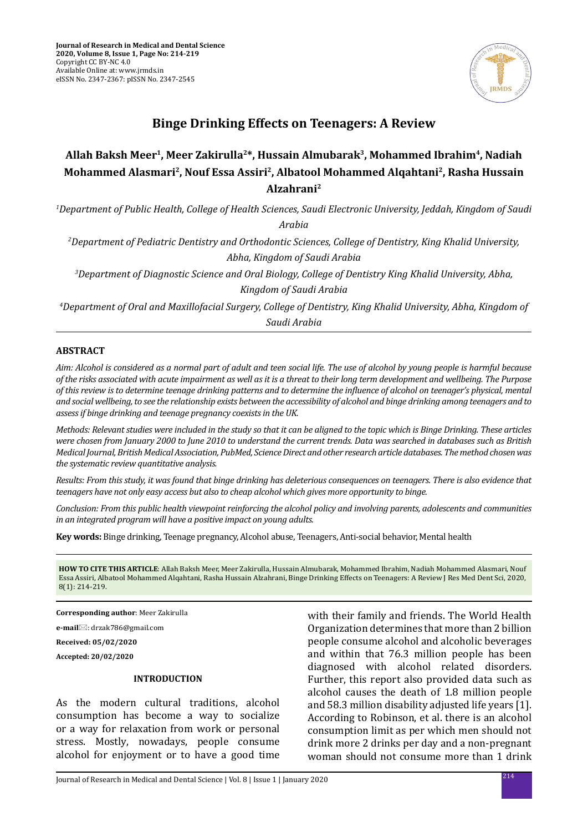

# **Binge Drinking Effects on Teenagers: A Review**

# Allah Baksh Meer<sup>1</sup>, Meer Zakirulla<sup>2\*</sup>, Hussain Almubarak<sup>3</sup>, Mohammed Ibrahim<sup>4</sup>, Nadiah **Mohammed Alasmari2, Nouf Essa Assiri2, Albatool Mohammed Alqahtani2, Rasha Hussain Alzahrani2**

*1 Department of Public Health, College of Health Sciences, Saudi Electronic University, Jeddah, Kingdom of Saudi Arabia*

*2 Department of Pediatric Dentistry and Orthodontic Sciences, College of Dentistry, King Khalid University, Abha, Kingdom of Saudi Arabia*

*3 Department of Diagnostic Science and Oral Biology, College of Dentistry King Khalid University, Abha, Kingdom of Saudi Arabia*

*4 Department of Oral and Maxillofacial Surgery, College of Dentistry, King Khalid University, Abha, Kingdom of Saudi Arabia*

# **ABSTRACT**

*Aim: Alcohol is considered as a normal part of adult and teen social life. The use of alcohol by young people is harmful because of the risks associated with acute impairment as well as it is a threat to their long term development and wellbeing. The Purpose of this review is to determine teenage drinking patterns and to determine the influence of alcohol on teenager's physical, mental and social wellbeing, to see the relationship exists between the accessibility of alcohol and binge drinking among teenagers and to assess if binge drinking and teenage pregnancy coexists in the UK.*

*Methods: Relevant studies were included in the study so that it can be aligned to the topic which is Binge Drinking. These articles were chosen from January 2000 to June 2010 to understand the current trends. Data was searched in databases such as British Medical Journal, British Medical Association, PubMed, Science Direct and other research article databases. The method chosen was the systematic review quantitative analysis.*

*Results: From this study, it was found that binge drinking has deleterious consequences on teenagers. There is also evidence that teenagers have not only easy access but also to cheap alcohol which gives more opportunity to binge.* 

*Conclusion: From this public health viewpoint reinforcing the alcohol policy and involving parents, adolescents and communities in an integrated program will have a positive impact on young adults.*

**Key words:** Binge drinking, Teenage pregnancy, Alcohol abuse, Teenagers, Anti-social behavior, Mental health

**HOW TO CITE THIS ARTICLE**: Allah Baksh Meer, Meer Zakirulla, Hussain Almubarak, Mohammed Ibrahim, Nadiah Mohammed Alasmari, Nouf Essa Assiri, Albatool Mohammed Alqahtani, Rasha Hussain Alzahrani, Binge Drinking Effects on Teenagers: A Review J Res Med Dent Sci, 2020, 8(1): 214-219.

**Corresponding author**: Meer Zakirulla

**e-mail**: drzak786@gmail.com

**Received: 05/02/2020**

**Accepted: 20/02/2020**

#### **INTRODUCTION**

As the modern cultural traditions, alcohol consumption has become a way to socialize or a way for relaxation from work or personal stress. Mostly, nowadays, people consume alcohol for enjoyment or to have a good time with their family and friends. The World Health Organization determines that more than 2 billion people consume alcohol and alcoholic beverages and within that 76.3 million people has been diagnosed with alcohol related disorders. Further, this report also provided data such as alcohol causes the death of 1.8 million people and 58.3 million disability adjusted life years [1]. According to Robinson, et al. there is an alcohol consumption limit as per which men should not drink more 2 drinks per day and a non-pregnant woman should not consume more than 1 drink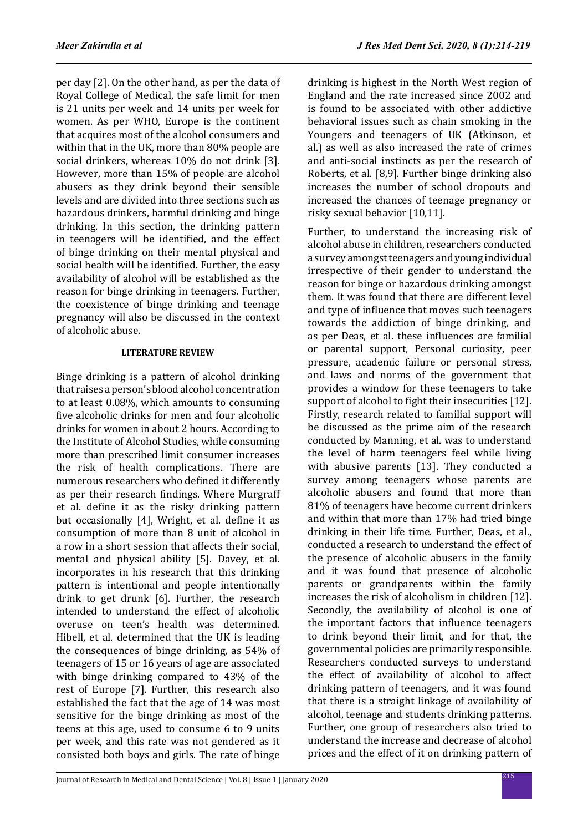per day [2]. On the other hand, as per the data of Royal College of Medical, the safe limit for men is 21 units per week and 14 units per week for women. As per WHO, Europe is the continent that acquires most of the alcohol consumers and within that in the UK, more than 80% people are social drinkers, whereas 10% do not drink [3]. However, more than 15% of people are alcohol abusers as they drink beyond their sensible levels and are divided into three sections such as hazardous drinkers, harmful drinking and binge drinking. In this section, the drinking pattern in teenagers will be identified, and the effect of binge drinking on their mental physical and social health will be identified. Further, the easy availability of alcohol will be established as the reason for binge drinking in teenagers. Further, the coexistence of binge drinking and teenage pregnancy will also be discussed in the context of alcoholic abuse.

#### **LITERATURE REVIEW**

Binge drinking is a pattern of alcohol drinking that raises a person's blood alcohol concentration to at least 0.08%, which amounts to consuming five alcoholic drinks for men and four alcoholic drinks for women in about 2 hours. According to the Institute of Alcohol Studies, while consuming more than prescribed limit consumer increases the risk of health complications. There are numerous researchers who defined it differently as per their research findings. Where Murgraff et al. define it as the risky drinking pattern but occasionally [4], Wright, et al. define it as consumption of more than 8 unit of alcohol in a row in a short session that affects their social, mental and physical ability [5]. Davey, et al. incorporates in his research that this drinking pattern is intentional and people intentionally drink to get drunk [6]. Further, the research intended to understand the effect of alcoholic overuse on teen's health was determined. Hibell, et al. determined that the UK is leading the consequences of binge drinking, as 54% of teenagers of 15 or 16 years of age are associated with binge drinking compared to 43% of the rest of Europe [7]. Further, this research also established the fact that the age of 14 was most sensitive for the binge drinking as most of the teens at this age, used to consume 6 to 9 units per week, and this rate was not gendered as it consisted both boys and girls. The rate of binge drinking is highest in the North West region of England and the rate increased since 2002 and is found to be associated with other addictive behavioral issues such as chain smoking in the Youngers and teenagers of UK (Atkinson, et al.) as well as also increased the rate of crimes and anti-social instincts as per the research of Roberts, et al. [8,9]. Further binge drinking also increases the number of school dropouts and increased the chances of teenage pregnancy or risky sexual behavior [10,11].

Further, to understand the increasing risk of alcohol abuse in children, researchers conducted a survey amongst teenagers and young individual irrespective of their gender to understand the reason for binge or hazardous drinking amongst them. It was found that there are different level and type of influence that moves such teenagers towards the addiction of binge drinking, and as per Deas, et al. these influences are familial or parental support, Personal curiosity, peer pressure, academic failure or personal stress, and laws and norms of the government that provides a window for these teenagers to take support of alcohol to fight their insecurities [12]. Firstly, research related to familial support will be discussed as the prime aim of the research conducted by Manning, et al. was to understand the level of harm teenagers feel while living with abusive parents [13]. They conducted a survey among teenagers whose parents are alcoholic abusers and found that more than 81% of teenagers have become current drinkers and within that more than 17% had tried binge drinking in their life time. Further, Deas, et al., conducted a research to understand the effect of the presence of alcoholic abusers in the family and it was found that presence of alcoholic parents or grandparents within the family increases the risk of alcoholism in children [12]. Secondly, the availability of alcohol is one of the important factors that influence teenagers to drink beyond their limit, and for that, the governmental policies are primarily responsible. Researchers conducted surveys to understand the effect of availability of alcohol to affect drinking pattern of teenagers, and it was found that there is a straight linkage of availability of alcohol, teenage and students drinking patterns. Further, one group of researchers also tried to understand the increase and decrease of alcohol prices and the effect of it on drinking pattern of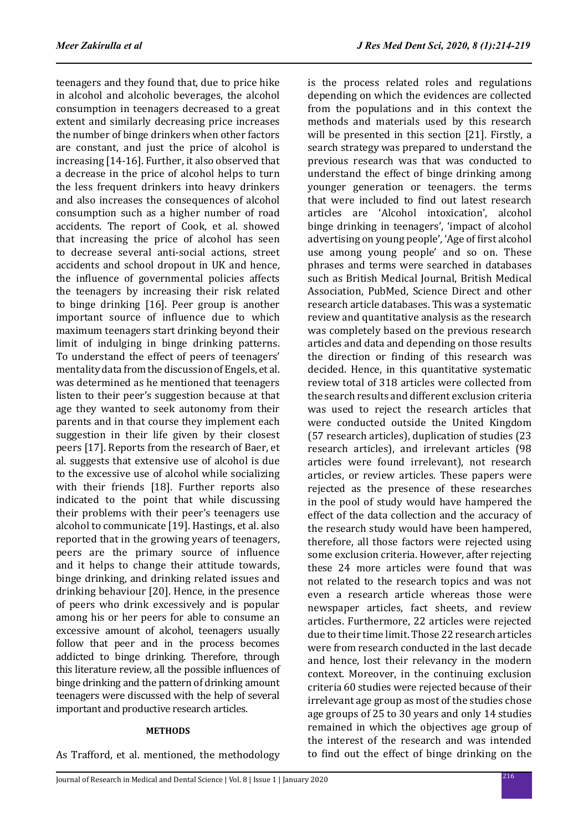is the process related roles and regulations depending on which the evidences are collected from the populations and in this context the methods and materials used by this research will be presented in this section [21]. Firstly, a search strategy was prepared to understand the previous research was that was conducted to understand the effect of binge drinking among younger generation or teenagers. the terms that were included to find out latest research articles are 'Alcohol intoxication', alcohol binge drinking in teenagers', 'impact of alcohol advertising on young people', 'Age of first alcohol use among young people' and so on. These

teenagers and they found that, due to price hike in alcohol and alcoholic beverages, the alcohol consumption in teenagers decreased to a great extent and similarly decreasing price increases the number of binge drinkers when other factors are constant, and just the price of alcohol is increasing [14-16]. Further, it also observed that a decrease in the price of alcohol helps to turn the less frequent drinkers into heavy drinkers and also increases the consequences of alcohol consumption such as a higher number of road accidents. The report of Cook, et al. showed that increasing the price of alcohol has seen to decrease several anti-social actions, street accidents and school dropout in UK and hence, the influence of governmental policies affects the teenagers by increasing their risk related to binge drinking [16]. Peer group is another important source of influence due to which maximum teenagers start drinking beyond their limit of indulging in binge drinking patterns. To understand the effect of peers of teenagers' mentality data from the discussion of Engels, et al. was determined as he mentioned that teenagers listen to their peer's suggestion because at that age they wanted to seek autonomy from their parents and in that course they implement each suggestion in their life given by their closest peers [17]. Reports from the research of Baer, et al. suggests that extensive use of alcohol is due to the excessive use of alcohol while socializing with their friends [18]. Further reports also indicated to the point that while discussing their problems with their peer's teenagers use alcohol to communicate [19]. Hastings, et al. also reported that in the growing years of teenagers, peers are the primary source of influence and it helps to change their attitude towards, binge drinking, and drinking related issues and drinking behaviour [20]. Hence, in the presence of peers who drink excessively and is popular among his or her peers for able to consume an excessive amount of alcohol, teenagers usually follow that peer and in the process becomes addicted to binge drinking. Therefore, through this literature review, all the possible influences of binge drinking and the pattern of drinking amount teenagers were discussed with the help of several important and productive research articles.

# **METHODS**

As Trafford, et al. mentioned, the methodology

<sup>216</sup> Journal of Research in Medical and Dental Science | Vol. 8 | Issue 1 | January 2020 phrases and terms were searched in databases such as British Medical Journal, British Medical Association, PubMed, Science Direct and other research article databases. This was a systematic review and quantitative analysis as the research was completely based on the previous research articles and data and depending on those results the direction or finding of this research was decided. Hence, in this quantitative systematic review total of 318 articles were collected from the search results and different exclusion criteria was used to reject the research articles that were conducted outside the United Kingdom (57 research articles), duplication of studies (23 research articles), and irrelevant articles (98 articles were found irrelevant), not research articles, or review articles. These papers were rejected as the presence of these researches in the pool of study would have hampered the effect of the data collection and the accuracy of the research study would have been hampered, therefore, all those factors were rejected using some exclusion criteria. However, after rejecting these 24 more articles were found that was not related to the research topics and was not even a research article whereas those were newspaper articles, fact sheets, and review articles. Furthermore, 22 articles were rejected due to their time limit. Those 22 research articles were from research conducted in the last decade and hence, lost their relevancy in the modern context. Moreover, in the continuing exclusion criteria 60 studies were rejected because of their irrelevant age group as most of the studies chose age groups of 25 to 30 years and only 14 studies remained in which the objectives age group of the interest of the research and was intended to find out the effect of binge drinking on the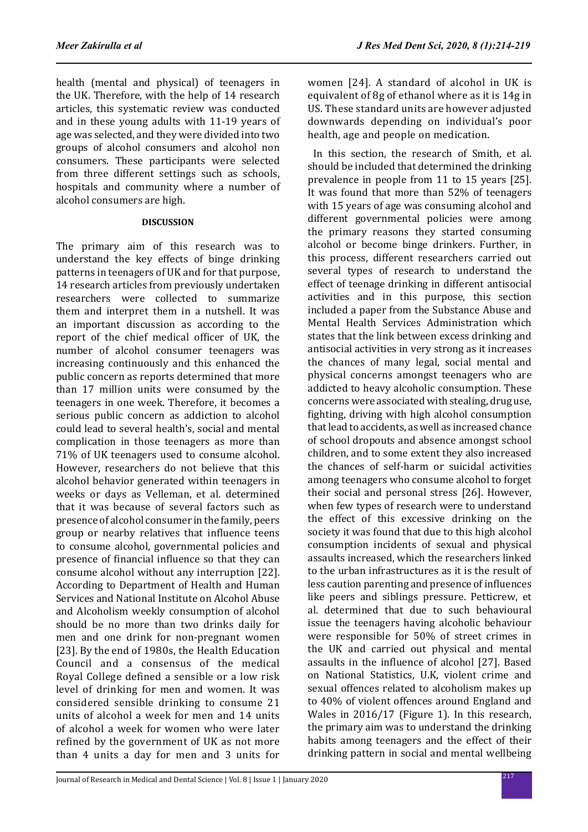health (mental and physical) of teenagers in the UK. Therefore, with the help of 14 research articles, this systematic review was conducted and in these young adults with 11-19 years of age was selected, and they were divided into two groups of alcohol consumers and alcohol non consumers. These participants were selected from three different settings such as schools, hospitals and community where a number of alcohol consumers are high.

#### **DISCUSSION**

The primary aim of this research was to understand the key effects of binge drinking patterns in teenagers of UK and for that purpose, 14 research articles from previously undertaken researchers were collected to summarize them and interpret them in a nutshell. It was an important discussion as according to the report of the chief medical officer of UK, the number of alcohol consumer teenagers was increasing continuously and this enhanced the public concern as reports determined that more than 17 million units were consumed by the teenagers in one week. Therefore, it becomes a serious public concern as addiction to alcohol could lead to several health's, social and mental complication in those teenagers as more than 71% of UK teenagers used to consume alcohol. However, researchers do not believe that this alcohol behavior generated within teenagers in weeks or days as Velleman, et al. determined that it was because of several factors such as presence of alcohol consumer in the family, peers group or nearby relatives that influence teens to consume alcohol, governmental policies and presence of financial influence so that they can consume alcohol without any interruption [22]. According to Department of Health and Human Services and National Institute on Alcohol Abuse and Alcoholism weekly consumption of alcohol should be no more than two drinks daily for men and one drink for non-pregnant women [23]. By the end of 1980s, the Health Education Council and a consensus of the medical Royal College defined a sensible or a low risk level of drinking for men and women. It was considered sensible drinking to consume 21 units of alcohol a week for men and 14 units of alcohol a week for women who were later refined by the government of UK as not more than 4 units a day for men and 3 units for women [24]. A standard of alcohol in UK is equivalent of 8g of ethanol where as it is 14g in US. These standard units are however adjusted downwards depending on individual's poor health, age and people on medication.

 In this section, the research of Smith, et al. should be included that determined the drinking prevalence in people from 11 to 15 years [25]. It was found that more than 52% of teenagers with 15 years of age was consuming alcohol and different governmental policies were among the primary reasons they started consuming alcohol or become binge drinkers. Further, in this process, different researchers carried out several types of research to understand the effect of teenage drinking in different antisocial activities and in this purpose, this section included a paper from the Substance Abuse and Mental Health Services Administration which states that the link between excess drinking and antisocial activities in very strong as it increases the chances of many legal, social mental and physical concerns amongst teenagers who are addicted to heavy alcoholic consumption. These concerns were associated with stealing, drug use, fighting, driving with high alcohol consumption that lead to accidents, as well as increased chance of school dropouts and absence amongst school children, and to some extent they also increased the chances of self-harm or suicidal activities among teenagers who consume alcohol to forget their social and personal stress [26]. However, when few types of research were to understand the effect of this excessive drinking on the society it was found that due to this high alcohol consumption incidents of sexual and physical assaults increased, which the researchers linked to the urban infrastructures as it is the result of less caution parenting and presence of influences like peers and siblings pressure. Petticrew, et al. determined that due to such behavioural issue the teenagers having alcoholic behaviour were responsible for 50% of street crimes in the UK and carried out physical and mental assaults in the influence of alcohol [27]. Based on National Statistics, U.K, violent crime and sexual offences related to alcoholism makes up to 40% of violent offences around England and Wales in 2016/17 (Figure 1). In this research, the primary aim was to understand the drinking habits among teenagers and the effect of their drinking pattern in social and mental wellbeing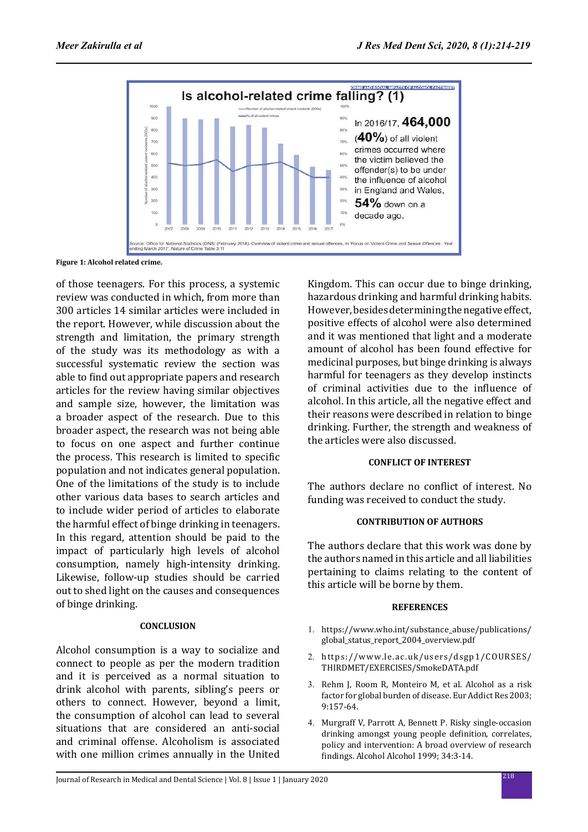

**Figure 1: Alcohol related crime.**

of those teenagers. For this process, a systemic review was conducted in which, from more than 300 articles 14 similar articles were included in the report. However, while discussion about the strength and limitation, the primary strength of the study was its methodology as with a successful systematic review the section was able to find out appropriate papers and research articles for the review having similar objectives and sample size, however, the limitation was a broader aspect of the research. Due to this broader aspect, the research was not being able to focus on one aspect and further continue the process. This research is limited to specific population and not indicates general population. One of the limitations of the study is to include other various data bases to search articles and to include wider period of articles to elaborate the harmful effect of binge drinking in teenagers. In this regard, attention should be paid to the impact of particularly high levels of alcohol consumption, namely high-intensity drinking. Likewise, follow-up studies should be carried out to shed light on the causes and consequences of binge drinking.

# **CONCLUSION**

Alcohol consumption is a way to socialize and connect to people as per the modern tradition and it is perceived as a normal situation to drink alcohol with parents, sibling's peers or others to connect. However, beyond a limit, the consumption of alcohol can lead to several situations that are considered an anti-social and criminal offense. Alcoholism is associated with one million crimes annually in the United Kingdom. This can occur due to binge drinking, hazardous drinking and harmful drinking habits. However, besides determining the negative effect, positive effects of alcohol were also determined and it was mentioned that light and a moderate amount of alcohol has been found effective for medicinal purposes, but binge drinking is always harmful for teenagers as they develop instincts of criminal activities due to the influence of alcohol. In this article, all the negative effect and their reasons were described in relation to binge drinking. Further, the strength and weakness of the articles were also discussed.

# **CONFLICT OF INTEREST**

The authors declare no conflict of interest. No funding was received to conduct the study.

# **CONTRIBUTION OF AUTHORS**

The authors declare that this work was done by the authors named in this article and all liabilities pertaining to claims relating to the content of this article will be borne by them.

# **REFERENCES**

- 1. https://www.who.int/substance\_abuse/publications/ global\_status\_report\_2004\_overview.pdf
- 2. https://www.le.ac.uk/users/dsgp1/COURSES/ THIRDMET/EXERCISES/SmokeDATA.pdf
- 3. Rehm J, Room R, Monteiro M, et al. Alcohol as a risk factor for global burden of disease. Eur Addict Res 2003; 9:157-64.
- 4. Murgraff V, Parrott A, Bennett P. Risky single-occasion drinking amongst young people definition, correlates, policy and intervention: A broad overview of research findings. Alcohol Alcohol 1999; 34:3-14.